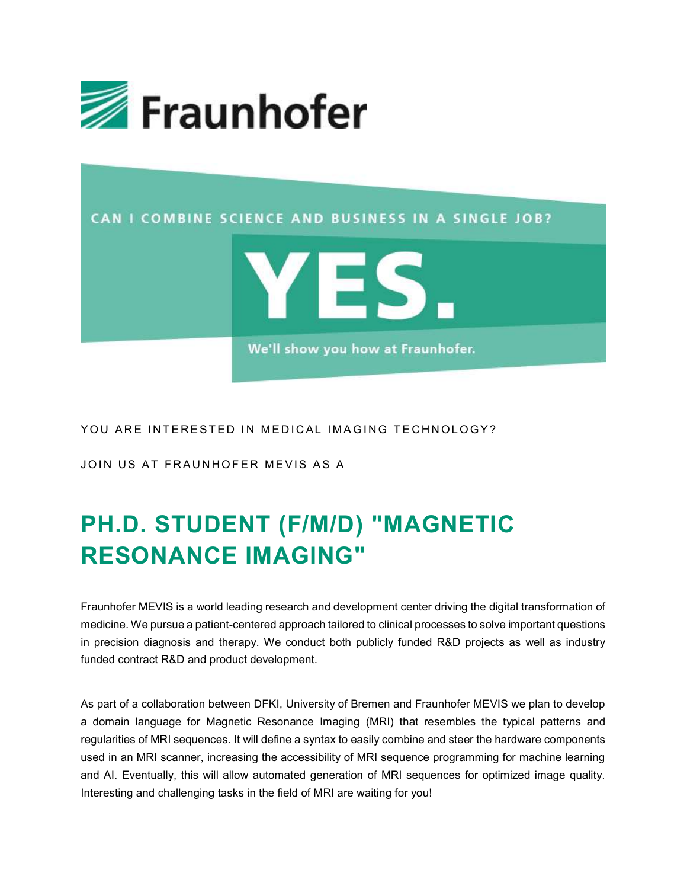



## PH.D. STUDENT (F/M/D) "MAGNETIC RESONANCE IMAGING"

Fraunhofer MEVIS is a world leading research and development center driving the digital transformation of medicine. We pursue a patient-centered approach tailored to clinical processes to solve important questions in precision diagnosis and therapy. We conduct both publicly funded R&D projects as well as industry funded contract R&D and product development.

As part of a collaboration between DFKI, University of Bremen and Fraunhofer MEVIS we plan to develop a domain language for Magnetic Resonance Imaging (MRI) that resembles the typical patterns and regularities of MRI sequences. It will define a syntax to easily combine and steer the hardware components used in an MRI scanner, increasing the accessibility of MRI sequence programming for machine learning and AI. Eventually, this will allow automated generation of MRI sequences for optimized image quality. Interesting and challenging tasks in the field of MRI are waiting for you!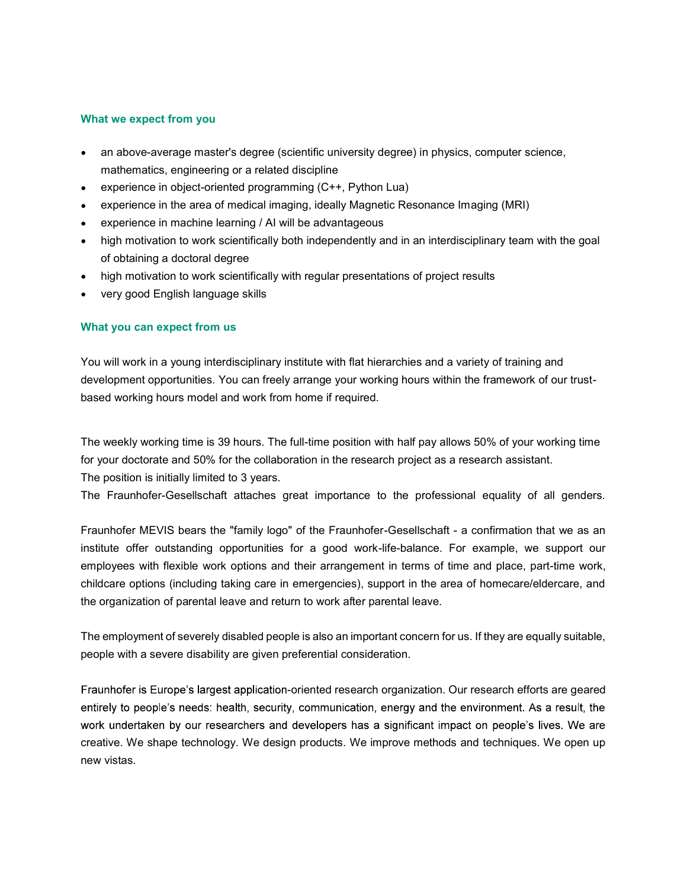## What we expect from you

- an above-average master's degree (scientific university degree) in physics, computer science, mathematics, engineering or a related discipline
- experience in object-oriented programming (C++, Python Lua)
- experience in the area of medical imaging, ideally Magnetic Resonance Imaging (MRI)
- experience in machine learning / AI will be advantageous
- high motivation to work scientifically both independently and in an interdisciplinary team with the goal of obtaining a doctoral degree
- high motivation to work scientifically with regular presentations of project results
- very good English language skills

## What you can expect from us

You will work in a young interdisciplinary institute with flat hierarchies and a variety of training and development opportunities. You can freely arrange your working hours within the framework of our trustbased working hours model and work from home if required.

The weekly working time is 39 hours. The full-time position with half pay allows 50% of your working time for your doctorate and 50% for the collaboration in the research project as a research assistant. The position is initially limited to 3 years.

The Fraunhofer-Gesellschaft attaches great importance to the professional equality of all genders.

Fraunhofer MEVIS bears the "family logo" of the Fraunhofer-Gesellschaft - a confirmation that we as an institute offer outstanding opportunities for a good work-life-balance. For example, we support our employees with flexible work options and their arrangement in terms of time and place, part-time work, childcare options (including taking care in emergencies), support in the area of homecare/eldercare, and the organization of parental leave and return to work after parental leave.

The employment of severely disabled people is also an important concern for us. If they are equally suitable, people with a severe disability are given preferential consideration.

Fraunhofer is Europe's largest application-oriented research organization. Our research efforts are geared entirely to people's needs: health, security, communication, energy and the environment. As a result, the work undertaken by our researchers and developers has a significant impact on people's lives. We are creative. We shape technology. We design products. We improve methods and techniques. We open up new vistas.